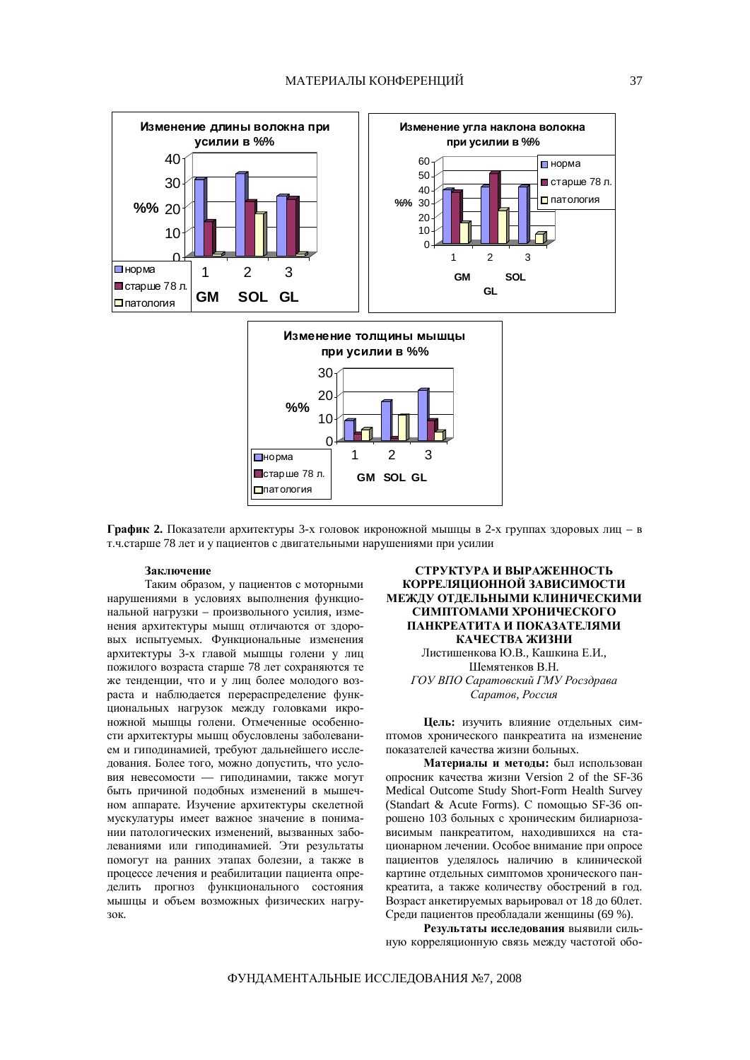

График 2. Показатели архитектуры 3-х головок икроножной мышцы в 2-х группах здоровых лиц – в т.ч.старше 78 лет и у пациентов с двигательными нарушениями при усилии

## Заключение

Таким образом, у пациентов с моторными нарушениями в условиях выполнения функцио- $H\ddot{\textbf{a}}$ нальной нагрузки – произвольного усилия, изменения архитектуры мышц отличаются от здоровых испытуемых. Функциональные изменения архитектуры 3-х главой мышцы голени у лиц пожилого возраста старше 78 лет сохраняются те же тенденции, что и у лиц более молодого возраста и наблюдается перераспределение функциональных нагрузок между головками икроножной мышцы голени. Отмеченные особенности архитектуры мышц обусловлены заболеванием и гиподинамией, требуют дальнейшего исследования. Более того, можно допустить, что условия невесомости — гиподинамии, также могут быть причиной подобных изменений в мышечном аппарате. Изучение архитектуры скелетной мускулатуры имеет важное значение в понимании патологических изменений, вызванных заболеваниями или гиподинамией. Эти результаты помогут на ранних этапах болезни, а также в процессе лечения и реабилитации пациента определить прогноз функционального состояния мышцы и объем возможных физических нагру-30K.

## СТРУКТУРА И ВЫРАЖЕННОСТЬ КОРРЕЛЯЦИОННОЙ ЗАВИСИМОСТИ МЕЖЛУ ОТЛЕЛЬНЫМИ КЛИНИЧЕСКИМИ СИМПТОМАМИ ХРОНИЧЕСКОГО ПАНКРЕАТИТА И ПОКАЗАТЕЛЯМИ КАЧЕСТВА ЖИЗНИ

Листишенкова Ю.В., Кашкина Е.И., Шемятенков В.Н.  $TOY$  ВПО Саратовский ГМУ Росздрава  $$ 

**Цель:** изучить влияние отдельных симптомов хронического панкреатита на изменение показателей качества жизни больных.

Материалы и методы: был использован опросник качества жизни Version 2 of the SF-36 Medical Outcome Study Short-Form Health Survey (Standart & Acute Forms). С помощью SF-36 опрошено 103 больных с хроническим билиарнозааисимым панкреатитом, находившихся на стационарном лечении. Особое внимание при опросе пациентов уделялось наличию в клинической картине отдельных симптомов хронического панкреатита, а также количеству обострений в год. Возраст анкетируемых варьировал от 18 до 60лет. Среди пациентов преобладали женщины (69 %).

Результаты исследования выявили сильную корреляционную связь между частотой обо-